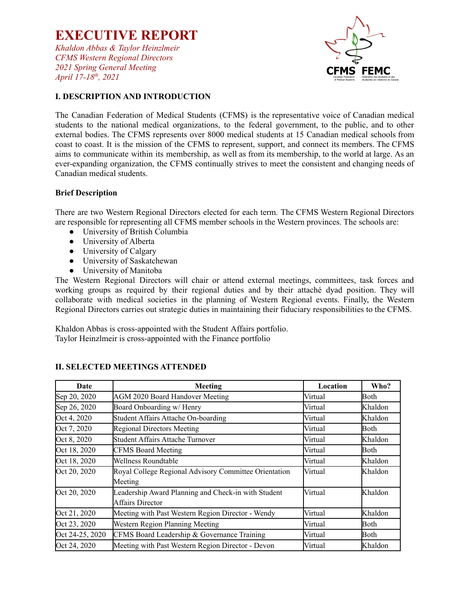*Khaldon Abbas & Taylor Heinzlmeir CFMS Western Regional Directors 2021 Spring General Meeting April 17-18 th , 2021*



## **I. DESCRIPTION AND INTRODUCTION**

The Canadian Federation of Medical Students (CFMS) is the representative voice of Canadian medical students to the national medical organizations, to the federal government, to the public, and to other external bodies. The CFMS represents over 8000 medical students at 15 Canadian medical schools from coast to coast. It is the mission of the CFMS to represent, support, and connect its members. The CFMS aims to communicate within its membership, as well as from its membership, to the world at large. As an ever-expanding organization, the CFMS continually strives to meet the consistent and changing needs of Canadian medical students.

#### **Brief Description**

There are two Western Regional Directors elected for each term. The CFMS Western Regional Directors are responsible for representing all CFMS member schools in the Western provinces. The schools are:

- University of British Columbia
- University of Alberta
- University of Calgary
- University of Saskatchewan
- University of Manitoba

The Western Regional Directors will chair or attend external meetings, committees, task forces and working groups as required by their regional duties and by their attaché dyad position. They will collaborate with medical societies in the planning of Western Regional events. Finally, the Western Regional Directors carries out strategic duties in maintaining their fiduciary responsibilities to the CFMS.

Khaldon Abbas is cross-appointed with the Student Affairs portfolio. Taylor Heinzlmeir is cross-appointed with the Finance portfolio

| Date            | <b>Meeting</b>                                        | Location | Who?    |
|-----------------|-------------------------------------------------------|----------|---------|
| Sep 20, 2020    | <b>AGM 2020 Board Handover Meeting</b>                | Virtual  | Both    |
| Sep 26, 2020    | Board Onboarding w/ Henry                             | Virtual  | Khaldon |
| Oct 4, 2020     | Student Affairs Attache On-boarding                   | Virtual  | Khaldon |
| Oct 7, 2020     | <b>Regional Directors Meeting</b>                     | Virtual  | Both    |
| Oct 8, 2020     | Student Affairs Attache Turnover                      | Virtual  | Khaldon |
| Oct 18, 2020    | <b>CFMS Board Meeting</b>                             | Virtual  | Both    |
| Oct 18, 2020    | Wellness Roundtable                                   | Virtual  | Khaldon |
| Oct 20, 2020    | Royal College Regional Advisory Committee Orientation | Virtual  | Khaldon |
|                 | Meeting                                               |          |         |
| Oct 20, 2020    | Leadership Award Planning and Check-in with Student   | Virtual  | Khaldon |
|                 | Affairs Director                                      |          |         |
| Oct 21, 2020    | Meeting with Past Western Region Director - Wendy     | Virtual  | Khaldon |
| Oct 23, 2020    | Western Region Planning Meeting                       | Virtual  | Both    |
| Oct 24-25, 2020 | CFMS Board Leadership & Governance Training           | Virtual  | Both    |
| Oct 24, 2020    | Meeting with Past Western Region Director - Devon     | Virtual  | Khaldon |

#### **II. SELECTED MEETINGS ATTENDED**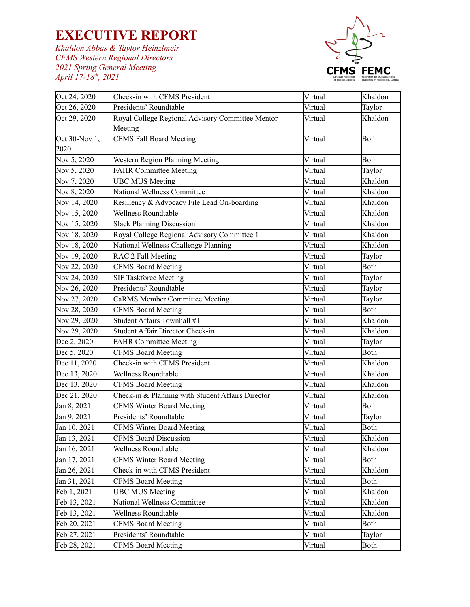*Khaldon Abbas & Taylor Heinzlmeir CFMS Western Regional Directors 2021 Spring General Meeting April 17-18 th , 2021*



| Oct 24, 2020  | Check-in with CFMS President                      | Virtual | Khaldon     |
|---------------|---------------------------------------------------|---------|-------------|
| Oct 26, 2020  | Presidents' Roundtable                            | Virtual | Taylor      |
| Oct 29, 2020  | Royal College Regional Advisory Committee Mentor  | Virtual | Khaldon     |
|               | Meeting                                           |         |             |
| Oct 30-Nov 1, | <b>CFMS Fall Board Meeting</b>                    | Virtual | <b>Both</b> |
| 2020          |                                                   |         |             |
| Nov 5, 2020   | Western Region Planning Meeting                   | Virtual | Both        |
| Nov 5, 2020   | <b>FAHR Committee Meeting</b>                     | Virtual | Taylor      |
| Nov 7, 2020   | <b>UBC MUS Meeting</b>                            | Virtual | Khaldon     |
| Nov 8, 2020   | National Wellness Committee                       | Virtual | Khaldon     |
| Nov 14, 2020  | Resiliency & Advocacy File Lead On-boarding       | Virtual | Khaldon     |
| Nov 15, 2020  | Wellness Roundtable                               | Virtual | Khaldon     |
| Nov 15, 2020  | <b>Slack Planning Discussion</b>                  | Virtual | Khaldon     |
| Nov 18, 2020  | Royal College Regional Advisory Committee 1       | Virtual | Khaldon     |
| Nov 18, 2020  | National Wellness Challenge Planning              | Virtual | Khaldon     |
| Nov 19, 2020  | RAC 2 Fall Meeting                                | Virtual | Taylor      |
| Nov 22, 2020  | <b>CFMS Board Meeting</b>                         | Virtual | <b>Both</b> |
| Nov 24, 2020  | <b>SIF Taskforce Meeting</b>                      | Virtual | Taylor      |
| Nov 26, 2020  | Presidents' Roundtable                            | Virtual | Taylor      |
| Nov 27, 2020  | <b>CaRMS Member Committee Meeting</b>             | Virtual | Taylor      |
| Nov 28, 2020  | <b>CFMS Board Meeting</b>                         | Virtual | Both        |
| Nov 29, 2020  | Student Affairs Townhall #1                       | Virtual | Khaldon     |
| Nov 29, 2020  | Student Affair Director Check-in                  | Virtual | Khaldon     |
| Dec 2, 2020   | <b>FAHR Committee Meeting</b>                     | Virtual | Taylor      |
| Dec 5, 2020   | <b>CFMS Board Meeting</b>                         | Virtual | Both        |
| Dec 11, 2020  | Check-in with CFMS President                      | Virtual | Khaldon     |
| Dec 13, 2020  | Wellness Roundtable                               | Virtual | Khaldon     |
| Dec 13, 2020  | <b>CFMS Board Meeting</b>                         | Virtual | Khaldon     |
| Dec 21, 2020  | Check-in & Planning with Student Affairs Director | Virtual | Khaldon     |
| Jan 8, 2021   | <b>CFMS Winter Board Meeting</b>                  | Virtual | Both        |
| Jan 9, 2021   | Presidents' Roundtable                            | Virtual | Taylor      |
| Jan 10, 2021  | <b>CFMS Winter Board Meeting</b>                  | Virtual | Both        |
| Jan 13, 2021  | <b>CFMS Board Discussion</b>                      | Virtual | Khaldon     |
| Jan 16, 2021  | Wellness Roundtable                               | Virtual | Khaldon     |
| Jan 17, 2021  | <b>CFMS Winter Board Meeting</b>                  | Virtual | <b>Both</b> |
| Jan 26, 2021  | Check-in with CFMS President                      | Virtual | Khaldon     |
| Jan 31, 2021  | <b>CFMS Board Meeting</b>                         | Virtual | <b>Both</b> |
| Feb 1, 2021   | <b>UBC MUS Meeting</b>                            | Virtual | Khaldon     |
| Feb 13, 2021  | National Wellness Committee                       | Virtual | Khaldon     |
| Feb 13, 2021  | Wellness Roundtable                               | Virtual | Khaldon     |
| Feb 20, 2021  | <b>CFMS Board Meeting</b>                         | Virtual | <b>Both</b> |
| Feb 27, 2021  | Presidents' Roundtable                            | Virtual | Taylor      |
| Feb 28, 2021  | <b>CFMS Board Meeting</b>                         | Virtual | Both        |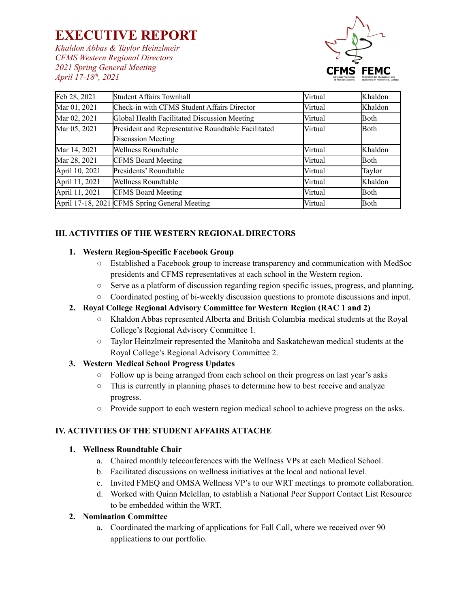*Khaldon Abbas & Taylor Heinzlmeir CFMS Western Regional Directors 2021 Spring General Meeting April 17-18 th , 2021*



| Feb 28, 2021   | <b>Student Affairs Townhall</b>                     | Virtual | Khaldon |
|----------------|-----------------------------------------------------|---------|---------|
| Mar 01, 2021   | Check-in with CFMS Student Affairs Director         | Virtual | Khaldon |
| Mar 02, 2021   | Global Health Facilitated Discussion Meeting        | Virtual | Both    |
| Mar 05, 2021   | President and Representative Roundtable Facilitated | Virtual | Both    |
|                | Discussion Meeting                                  |         |         |
| Mar 14, 2021   | <b>Wellness Roundtable</b>                          | Virtual | Khaldon |
| Mar 28, 2021   | <b>CFMS Board Meeting</b>                           | Virtual | Both    |
| April 10, 2021 | Presidents' Roundtable                              | Virtual | Taylor  |
| April 11, 2021 | Wellness Roundtable                                 | Virtual | Khaldon |
| April 11, 2021 | <b>CFMS Board Meeting</b>                           | Virtual | Both    |
|                | April 17-18, 2021 CFMS Spring General Meeting       | Virtual | Both    |

## **III. ACTIVITIES OF THE WESTERN REGIONAL DIRECTORS**

#### **1. Western Region-Specific Facebook Group**

- **○** Established a Facebook group to increase transparency and communication with MedSoc presidents and CFMS representatives at each school in the Western region.
- **○** Serve as a platform of discussion regarding region specific issues, progress, and planning**.**
- Coordinated posting of bi-weekly discussion questions to promote discussions and input.

## **2. Royal College Regional Advisory Committee for Western Region (RAC 1 and 2)**

- **○** Khaldon Abbas represented Alberta and British Columbia medical students at the Royal College's Regional Advisory Committee 1.
- **○** Taylor Heinzlmeir represented the Manitoba and Saskatchewan medical students at the Royal College's Regional Advisory Committee 2.

#### **3. Western Medical School Progress Updates**

- Follow up is being arranged from each school on their progress on last year's asks
- This is currently in planning phases to determine how to best receive and analyze progress.
- Provide support to each western region medical school to achieve progress on the asks.

## **IV. ACTIVITIES OF THE STUDENT AFFAIRS ATTACHE**

#### **1. Wellness Roundtable Chair**

- a. Chaired monthly teleconferences with the Wellness VPs at each Medical School.
- b. Facilitated discussions on wellness initiatives at the local and national level.
- c. Invited FMEQ and OMSA Wellness VP's to our WRT meetings to promote collaboration.
- d. Worked with Quinn Mclellan, to establish a National Peer Support Contact List Resource to be embedded within the WRT.

#### **2. Nomination Committee**

a. Coordinated the marking of applications for Fall Call, where we received over 90 applications to our portfolio.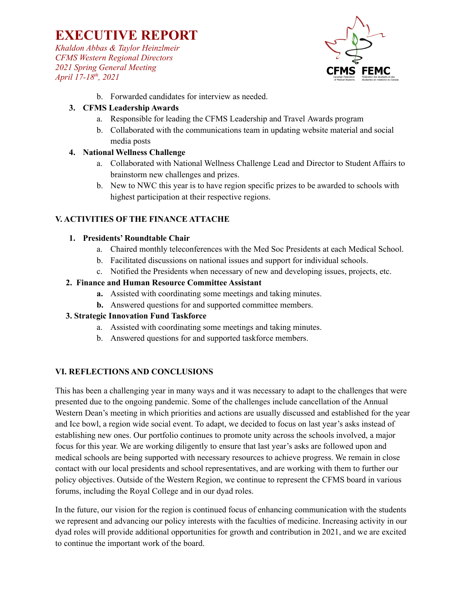*Khaldon Abbas & Taylor Heinzlmeir CFMS Western Regional Directors 2021 Spring General Meeting April 17-18 th , 2021*



b. Forwarded candidates for interview as needed.

## **3. CFMS Leadership Awards**

- a. Responsible for leading the CFMS Leadership and Travel Awards program
- b. Collaborated with the communications team in updating website material and social media posts

## **4. National Wellness Challenge**

- a. Collaborated with National Wellness Challenge Lead and Director to Student Affairs to brainstorm new challenges and prizes.
- b. New to NWC this year is to have region specific prizes to be awarded to schools with highest participation at their respective regions.

## **V. ACTIVITIES OF THE FINANCE ATTACHE**

## **1. Presidents' Roundtable Chair**

- a. Chaired monthly teleconferences with the Med Soc Presidents at each Medical School.
- b. Facilitated discussions on national issues and support for individual schools.
- c. Notified the Presidents when necessary of new and developing issues, projects, etc.

## **2. Finance and Human Resource Committee Assistant**

- **a.** Assisted with coordinating some meetings and taking minutes.
- **b.** Answered questions for and supported committee members.

## **3. Strategic Innovation Fund Taskforce**

- a. Assisted with coordinating some meetings and taking minutes.
- b. Answered questions for and supported taskforce members.

#### **VI. REFLECTIONS AND CONCLUSIONS**

This has been a challenging year in many ways and it was necessary to adapt to the challenges that were presented due to the ongoing pandemic. Some of the challenges include cancellation of the Annual Western Dean's meeting in which priorities and actions are usually discussed and established for the year and Ice bowl, a region wide social event. To adapt, we decided to focus on last year's asks instead of establishing new ones. Our portfolio continues to promote unity across the schools involved, a major focus for this year. We are working diligently to ensure that last year's asks are followed upon and medical schools are being supported with necessary resources to achieve progress. We remain in close contact with our local presidents and school representatives, and are working with them to further our policy objectives. Outside of the Western Region, we continue to represent the CFMS board in various forums, including the Royal College and in our dyad roles.

In the future, our vision for the region is continued focus of enhancing communication with the students we represent and advancing our policy interests with the faculties of medicine. Increasing activity in our dyad roles will provide additional opportunities for growth and contribution in 2021, and we are excited to continue the important work of the board.